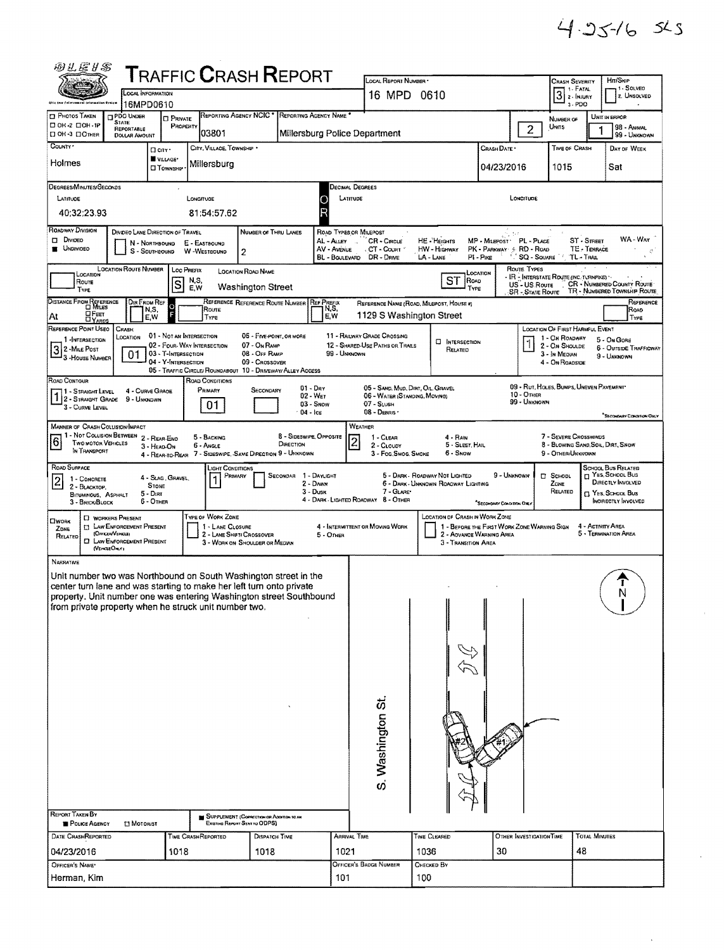$\bar{\star}$ 

| 四儿居り写                                                                                                                                                                                  |                  |                                                                       |                                       |                                                        |             |                                   |                                                                           |                                             |                              |                                                                                                                                                                                                                                 |                                                                |                                                                       |                                  |                                                                         |                                                  |                                            |                                                |                                                              |  |  |  |  |
|----------------------------------------------------------------------------------------------------------------------------------------------------------------------------------------|------------------|-----------------------------------------------------------------------|---------------------------------------|--------------------------------------------------------|-------------|-----------------------------------|---------------------------------------------------------------------------|---------------------------------------------|------------------------------|---------------------------------------------------------------------------------------------------------------------------------------------------------------------------------------------------------------------------------|----------------------------------------------------------------|-----------------------------------------------------------------------|----------------------------------|-------------------------------------------------------------------------|--------------------------------------------------|--------------------------------------------|------------------------------------------------|--------------------------------------------------------------|--|--|--|--|
| <b>T</b> RAFFIC <b>C</b> RASH <b>R</b> EPORT<br>LOCAL INFORMATION                                                                                                                      |                  |                                                                       |                                       |                                                        |             |                                   |                                                                           |                                             |                              | LOCAL REPORT NUMBER *<br>16 MPD 0610                                                                                                                                                                                            |                                                                |                                                                       |                                  |                                                                         | CRASH SEVERITY<br>7 1 - Fatal<br>$3 \times 1000$ |                                            | Hm/SKIP<br>1 - SOLVEO<br>2. UNSOLVED           |                                                              |  |  |  |  |
| 16MPD0610<br>REPORTING AGENCY NCIC *<br>REPORTING AGENCY NAME<br>PHOTOS TAKEN<br>PDO UNDER                                                                                             |                  |                                                                       |                                       |                                                        |             |                                   |                                                                           |                                             |                              |                                                                                                                                                                                                                                 |                                                                |                                                                       |                                  |                                                                         | 3-PDO                                            |                                            |                                                |                                                              |  |  |  |  |
| □ 0К-2 □ 0Н-1Р<br>□ ОН-3 □ ОТНЕВ                                                                                                                                                       |                  | <b>STATE</b><br>REPORTABLE                                            |                                       | <b>D</b> PRIVATE<br>PROPERTY                           |             | 03801                             |                                                                           |                                             |                              |                                                                                                                                                                                                                                 |                                                                |                                                                       |                                  | $\overline{2}$                                                          | NUMBER OF<br>Units                               |                                            | UNIT IN ERROR<br>98 - ANIMAL<br>99 - UNKNOWN   |                                                              |  |  |  |  |
| Millersburg Police Department<br><b>DOLLAR AMOUNT</b><br>COUNTY*<br>CITY, VILLAGE, TOWNSHIP *<br>D city .                                                                              |                  |                                                                       |                                       |                                                        |             |                                   |                                                                           |                                             |                              |                                                                                                                                                                                                                                 |                                                                |                                                                       |                                  | Crash Date .                                                            |                                                  | TIME OF CRASH                              |                                                | DAY OF WEEK                                                  |  |  |  |  |
| Holmes                                                                                                                                                                                 |                  |                                                                       | WILLAGE*                              | <b>CI TOWNSHP</b>                                      |             | Millersburg                       |                                                                           |                                             |                              |                                                                                                                                                                                                                                 |                                                                |                                                                       |                                  | 04/23/2016                                                              |                                                  | 1015                                       |                                                | Sat                                                          |  |  |  |  |
| DEGREES/MINUTES/SECONDS                                                                                                                                                                |                  |                                                                       |                                       |                                                        |             |                                   |                                                                           |                                             |                              |                                                                                                                                                                                                                                 |                                                                |                                                                       |                                  |                                                                         |                                                  |                                            |                                                |                                                              |  |  |  |  |
| LATITUDE                                                                                                                                                                               |                  |                                                                       |                                       |                                                        | LONGITUDE   |                                   |                                                                           |                                             | О                            | Decimal Degrees<br>LATITUDE<br>LONGITUDE                                                                                                                                                                                        |                                                                |                                                                       |                                  |                                                                         |                                                  |                                            |                                                |                                                              |  |  |  |  |
| 40:32:23.93                                                                                                                                                                            |                  |                                                                       |                                       |                                                        |             | 81:54:57.62                       |                                                                           |                                             | R                            |                                                                                                                                                                                                                                 |                                                                |                                                                       |                                  |                                                                         |                                                  |                                            |                                                |                                                              |  |  |  |  |
| ROADWAY DIVISION<br>$\square$ Divideo<br><b>UNDIVIDED</b>                                                                                                                              |                  | DIVOED LANE DIRECTION OF TRAVEL                                       | N - NORTHBOUND<br>S - SOUTHBOUND      |                                                        |             | E - EASTBOUND<br>W-WESTBOUND      | NUMBER OF THRU LANES<br>2                                                 |                                             | AL - Alley                   | ROAD TYPES OR MILEPOST<br>ವಿ ಸ್<br>WA - Way<br><b>HE-HEIGHTS</b><br>MP - MILEPOST PL - PLACE<br>ST - Smeet<br>CR - CIRCLE<br>PK - PARKWAY 3- RD - ROAD<br>TE - TERRACE<br>AV - Avenue<br>CT - COURT<br><b>HW - HIGHWAY</b><br>婆 |                                                                |                                                                       |                                  |                                                                         |                                                  |                                            |                                                |                                                              |  |  |  |  |
| <b>SQ - SOUARE</b><br>DR - DRNE<br>PI - Pac<br>TL - TRAL<br>BL - BOULEVARD<br>LA - Lane<br><b>LOCATION ROUTE NUMBER</b><br>Route Types<br>LOC PREFIX<br>LOCATION ROAD NAME<br>LOCATION |                  |                                                                       |                                       |                                                        |             |                                   |                                                                           |                                             |                              |                                                                                                                                                                                                                                 |                                                                |                                                                       |                                  |                                                                         |                                                  |                                            |                                                |                                                              |  |  |  |  |
| LOCATION<br>Route<br><b>TYPE</b>                                                                                                                                                       |                  |                                                                       |                                       | S                                                      | N,S,<br>E.W |                                   | <b>Washington Street</b>                                                  |                                             |                              |                                                                                                                                                                                                                                 |                                                                | ST                                                                    | ROAD<br>TYPE                     |                                                                         | US - US Route<br>SR - State Route                | * IR - Interstate Route (Inc. turnpike) '* |                                                | CR - NUMBERED COUNTY ROUTE<br>TR - NUMBERED TOWNSHIP ROUTE   |  |  |  |  |
| DISTANCE FROM REFERENCE                                                                                                                                                                |                  | Dir From Ref                                                          | N,S,                                  | $\Omega$                                               |             | Route                             | REFERENCE REFERENCE ROUTE NUMBER REF PREEIX                               |                                             | N,S,                         |                                                                                                                                                                                                                                 | REFERENCE NAME (ROAD, MILEPOST, HOUSE #)                       |                                                                       |                                  |                                                                         |                                                  |                                            |                                                | REFERENCE<br>ROAD                                            |  |  |  |  |
| <b>DFEET</b><br>At<br>REFERENCE POINT USEO                                                                                                                                             |                  | <b>CRASH</b>                                                          | E,W                                   |                                                        |             | TYPE                              |                                                                           |                                             | E.W                          |                                                                                                                                                                                                                                 | 1129 S Washington Street                                       |                                                                       |                                  |                                                                         |                                                  | LOCATION OF FIRST HARMFUL EVENT            |                                                | TYPE                                                         |  |  |  |  |
| 1 - INTERSECTION                                                                                                                                                                       |                  | LOCATION                                                              |                                       | 01 - Not an Intersection<br>02 - Four-WAY INTERSECTION |             |                                   | 06 - FIVE POINT, OR MORE<br>07 - On Ramp                                  |                                             |                              |                                                                                                                                                                                                                                 | 11 - RAILWAY GRADE CROSSING<br>12 - SHARED-USE PATHS OR TRAILS |                                                                       | <b>E INTERSECTION</b><br>RELATED |                                                                         |                                                  | 1 - On ROADWAY<br>2 - On Shoulde           |                                                | 5 - On Gore<br><b>6 - OUTSIDE TRAFFICWAY</b>                 |  |  |  |  |
| 32-MILE POST<br>3 - House Number                                                                                                                                                       |                  | 01                                                                    |                                       | 03 - T-INTERSECTION<br>04 - Y-INTERSECTION             |             |                                   | 08 - OFF RAMP<br>09 - CROSSOVER                                           |                                             |                              | 99 - UNKNOWN                                                                                                                                                                                                                    |                                                                |                                                                       |                                  |                                                                         |                                                  | 3 - In Median<br>4 - On ROADSIDE           |                                                | 9 - UNKNOWN                                                  |  |  |  |  |
| ROAD CONTOUR                                                                                                                                                                           |                  |                                                                       |                                       |                                                        |             | ROAD CONDITIONS                   | 05 - TRAFFIC CIRCLE/ ROUNDABOUT 10 - DRIVEWAY/ ALLEY ACCESS               |                                             | $01 - \text{Dar}$            |                                                                                                                                                                                                                                 | 05 - SAND, MUD, DIRT, OIL, GRAVEL                              |                                                                       |                                  |                                                                         |                                                  | 09 - Rut, HOLES, BUMPS, UNEVEN PAVEMENT    |                                                |                                                              |  |  |  |  |
| 11 - Straight Level<br>12 - STRAIGHT GRADE<br>3 - CURVE LEVEL                                                                                                                          |                  | 4 - CURVE GRADE<br>9 - UNKNOWN                                        |                                       |                                                        |             | Primary<br>01                     | Secondary                                                                 |                                             | $02 - W_{ET}$<br>$03 -$ SNDW |                                                                                                                                                                                                                                 | 06 - WATER (STANDING, MOVING)<br>07 - SLUSH                    |                                                                       |                                  |                                                                         | 10 - Отнев<br>99 - UNKNOWN                       |                                            |                                                |                                                              |  |  |  |  |
| <b>MANNER OF CRASH COLLISION/IMPACT</b>                                                                                                                                                |                  |                                                                       |                                       |                                                        |             |                                   |                                                                           |                                             | $04 -$ Ic $\varepsilon$      | 08 - DEBRIS<br>"SECONDARY CONDITION ONLY<br>WEATHER                                                                                                                                                                             |                                                                |                                                                       |                                  |                                                                         |                                                  |                                            |                                                |                                                              |  |  |  |  |
| 1 - Not Collision Between<br>6<br>TWO MOTOR VEHICLES                                                                                                                                   |                  |                                                                       | 2 - REAR-END                          |                                                        |             | 5 - BACKING<br>6 - ANGLE          |                                                                           | <b>B - SIDESWIPE, OPPOSITE</b><br>DIRECTION |                              | 7 - SEVERE CROSSWINDS<br>1 - CLEAR<br>4 - Rain<br>$\overline{2}$<br>8 - BLOWING SAND, SON., DIRT, SNOW<br>5 - Sleet, Hail<br>2 - CLOUDY                                                                                         |                                                                |                                                                       |                                  |                                                                         |                                                  |                                            |                                                |                                                              |  |  |  |  |
| IN TRANSPORT                                                                                                                                                                           |                  |                                                                       | 3 - HEAD-ON                           | 4 - Rear-to-Rear                                       |             |                                   | 7 - SIDESWIPE, SAME DIRECTION 9 - UNKNOWN                                 |                                             |                              |                                                                                                                                                                                                                                 | 3 - Fog Smog Smoke                                             |                                                                       | 5 - Snow                         |                                                                         |                                                  | 9 - OTHER/UNKNOWN                          |                                                |                                                              |  |  |  |  |
| ROAD SURFACE<br>1 - CONCRETE<br>$\vert 2 \vert$                                                                                                                                        |                  |                                                                       |                                       | 4 - Slag Gravel,                                       |             | <b>JGHT CONDITIONS</b><br>PRIMARY |                                                                           | SECONDAR 1 - DAYLIGHT                       | 2 - DAMN                     |                                                                                                                                                                                                                                 |                                                                | 5 - DARK - ROADWAY NOT LIGHTED<br>6 - DARK - UNKNOWN ROADWAY LIGHTING |                                  | 9 - UNKNOWN                                                             |                                                  | <b>D</b> SCHOOL                            |                                                | SCHOOL BUS RELATED<br>T YES, SCHOOL BUS<br>DIRECTLY INVOLVED |  |  |  |  |
| 2 - BLACKTOP.<br><b>BITUMINOUS, ASPHALT</b><br>3 - BRICK/BLOCK                                                                                                                         |                  |                                                                       | <b>STONE</b><br>5 - Dirt<br>6 - OTHER |                                                        |             |                                   |                                                                           |                                             | $3 -$ Dusk                   | 7 - GLARE*<br>4 - DARK - LIGHTED ROADWAY 8 - OTHER                                                                                                                                                                              |                                                                |                                                                       |                                  |                                                                         |                                                  | ZONE<br>RELATED                            | T YES, SCHOOL BUS<br><b>INORECTLY INVOLVED</b> |                                                              |  |  |  |  |
| Пиояк                                                                                                                                                                                  |                  | <b>D</b> WORKERS PRESENT                                              |                                       |                                                        |             | TYPE OF WORK ZONE                 |                                                                           |                                             |                              |                                                                                                                                                                                                                                 |                                                                | LOCATION OF CRASH IN WORK ZONE                                        |                                  | <sup>*</sup> Secondary Contribution Ont                                 |                                                  |                                            |                                                |                                                              |  |  |  |  |
| ZDNE<br>RELATED                                                                                                                                                                        | (OFFICER/VENCLE) | <b>ET LAW ENFORCEMENT PRESENT</b><br><b>C LAW ENFORCEMENT PRESENT</b> |                                       |                                                        |             | 1 - LANE CLOSURE                  | 2 - LANE SHIFTI CROSSOVER                                                 |                                             | 5 - OTHER                    |                                                                                                                                                                                                                                 | 4 - INTERMITTENT OR MOVING WORK                                |                                                                       |                                  | 1 - BEFORE THE FIRST WORK ZONE WARNING SIGN<br>2 - ADVANCE WARNING AREA |                                                  |                                            | 4 - ACTIVITY AREA                              | 5 - TERMINATION AREA                                         |  |  |  |  |
|                                                                                                                                                                                        | (VEHOLEOMY)      |                                                                       |                                       |                                                        |             |                                   | 3 - WORK ON SHOULDER OR MEDIAN                                            |                                             |                              |                                                                                                                                                                                                                                 |                                                                |                                                                       | 3 - TRANSITION AREA              |                                                                         |                                                  |                                            |                                                |                                                              |  |  |  |  |
| NARRATIVE<br>Unit number two was Northbound on South Washington street in the                                                                                                          |                  |                                                                       |                                       |                                                        |             |                                   |                                                                           |                                             |                              |                                                                                                                                                                                                                                 |                                                                |                                                                       |                                  |                                                                         |                                                  |                                            |                                                |                                                              |  |  |  |  |
| center turn lane and was starting to make her left turn onto private                                                                                                                   |                  |                                                                       |                                       |                                                        |             |                                   |                                                                           |                                             |                              |                                                                                                                                                                                                                                 |                                                                |                                                                       |                                  |                                                                         |                                                  |                                            |                                                | I                                                            |  |  |  |  |
| property. Unit number one was entering Washington street Southbound<br>from private property when he struck unit number two.                                                           |                  |                                                                       |                                       |                                                        |             |                                   |                                                                           |                                             |                              |                                                                                                                                                                                                                                 |                                                                |                                                                       |                                  |                                                                         |                                                  |                                            |                                                |                                                              |  |  |  |  |
|                                                                                                                                                                                        |                  |                                                                       |                                       |                                                        |             |                                   |                                                                           |                                             |                              |                                                                                                                                                                                                                                 |                                                                |                                                                       |                                  |                                                                         |                                                  |                                            |                                                |                                                              |  |  |  |  |
|                                                                                                                                                                                        |                  |                                                                       |                                       |                                                        |             |                                   |                                                                           |                                             |                              |                                                                                                                                                                                                                                 |                                                                |                                                                       |                                  |                                                                         |                                                  |                                            |                                                |                                                              |  |  |  |  |
|                                                                                                                                                                                        |                  |                                                                       |                                       |                                                        |             |                                   |                                                                           |                                             |                              |                                                                                                                                                                                                                                 |                                                                |                                                                       |                                  |                                                                         |                                                  |                                            |                                                |                                                              |  |  |  |  |
|                                                                                                                                                                                        |                  |                                                                       |                                       |                                                        |             |                                   |                                                                           |                                             |                              |                                                                                                                                                                                                                                 |                                                                |                                                                       |                                  |                                                                         |                                                  |                                            |                                                |                                                              |  |  |  |  |
|                                                                                                                                                                                        |                  |                                                                       |                                       |                                                        |             |                                   |                                                                           |                                             |                              |                                                                                                                                                                                                                                 |                                                                |                                                                       |                                  |                                                                         |                                                  |                                            |                                                |                                                              |  |  |  |  |
|                                                                                                                                                                                        |                  |                                                                       |                                       |                                                        |             |                                   |                                                                           |                                             |                              |                                                                                                                                                                                                                                 |                                                                |                                                                       |                                  |                                                                         |                                                  |                                            |                                                |                                                              |  |  |  |  |
|                                                                                                                                                                                        |                  |                                                                       |                                       |                                                        |             |                                   |                                                                           |                                             |                              |                                                                                                                                                                                                                                 |                                                                |                                                                       |                                  |                                                                         |                                                  |                                            |                                                |                                                              |  |  |  |  |
|                                                                                                                                                                                        |                  |                                                                       |                                       |                                                        |             |                                   |                                                                           |                                             |                              |                                                                                                                                                                                                                                 |                                                                |                                                                       |                                  |                                                                         |                                                  |                                            |                                                |                                                              |  |  |  |  |
|                                                                                                                                                                                        |                  |                                                                       |                                       |                                                        |             |                                   |                                                                           |                                             |                              | S. Washington St.                                                                                                                                                                                                               |                                                                |                                                                       |                                  |                                                                         |                                                  |                                            |                                                |                                                              |  |  |  |  |
|                                                                                                                                                                                        |                  |                                                                       |                                       |                                                        |             |                                   |                                                                           |                                             |                              |                                                                                                                                                                                                                                 |                                                                |                                                                       |                                  |                                                                         |                                                  |                                            |                                                |                                                              |  |  |  |  |
| <b>REPORT TAKEN BY</b><br>POLICE AGENCY                                                                                                                                                |                  | <b>LI MOTORIST</b>                                                    |                                       |                                                        |             |                                   | SUPPLEMENT (CORRECTION OR ADDITION TO AN<br>Existing Report Sent to ODPS) |                                             |                              |                                                                                                                                                                                                                                 |                                                                |                                                                       |                                  |                                                                         |                                                  |                                            |                                                |                                                              |  |  |  |  |
| DATE CRASHREPORTED                                                                                                                                                                     |                  |                                                                       |                                       |                                                        |             | TIME CRASHREPORTED                | <b>DISPATCH TIME</b>                                                      |                                             |                              | ARRIVAL TIME                                                                                                                                                                                                                    |                                                                | Time Cleared                                                          |                                  |                                                                         | OTHER INVESTIGATION TIME                         |                                            | TOTAL MINUTES                                  |                                                              |  |  |  |  |
| 04/23/2016                                                                                                                                                                             |                  |                                                                       |                                       | 1018                                                   |             |                                   | 1018                                                                      |                                             |                              | 1021                                                                                                                                                                                                                            |                                                                | 1036                                                                  |                                  | 30                                                                      |                                                  |                                            | 48                                             |                                                              |  |  |  |  |
| OFFICER'S NAME'<br>Herman, Kim                                                                                                                                                         |                  |                                                                       |                                       |                                                        |             |                                   |                                                                           |                                             |                              | 101                                                                                                                                                                                                                             | OFFICER'S BADGE NUMBER                                         | CHECKED BY<br>100                                                     |                                  |                                                                         |                                                  |                                            |                                                |                                                              |  |  |  |  |
|                                                                                                                                                                                        |                  |                                                                       |                                       |                                                        |             |                                   |                                                                           |                                             |                              |                                                                                                                                                                                                                                 |                                                                |                                                                       |                                  |                                                                         |                                                  |                                            |                                                |                                                              |  |  |  |  |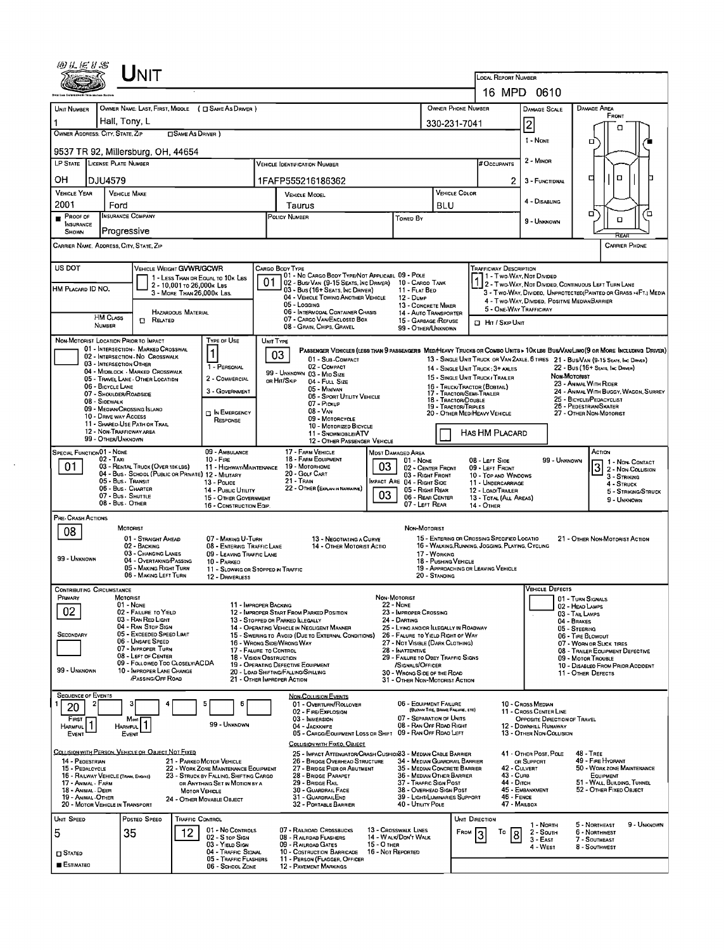|                                                                              | UNIT                                                                                                          |                                                                                                                  |                                                         |                                                                                                                                                                    |                                                                                          |                                                                                                                                                                                                 |                        |                                                 |                                                     |                                                                               |                                                     |                                                                                                                        |             |  |  |  |  |
|------------------------------------------------------------------------------|---------------------------------------------------------------------------------------------------------------|------------------------------------------------------------------------------------------------------------------|---------------------------------------------------------|--------------------------------------------------------------------------------------------------------------------------------------------------------------------|------------------------------------------------------------------------------------------|-------------------------------------------------------------------------------------------------------------------------------------------------------------------------------------------------|------------------------|-------------------------------------------------|-----------------------------------------------------|-------------------------------------------------------------------------------|-----------------------------------------------------|------------------------------------------------------------------------------------------------------------------------|-------------|--|--|--|--|
|                                                                              |                                                                                                               |                                                                                                                  |                                                         |                                                                                                                                                                    |                                                                                          |                                                                                                                                                                                                 |                        |                                                 |                                                     | LOCAL REPORT NUMBER<br>16 MPD 0610                                            |                                                     |                                                                                                                        |             |  |  |  |  |
|                                                                              |                                                                                                               |                                                                                                                  |                                                         |                                                                                                                                                                    |                                                                                          |                                                                                                                                                                                                 |                        | <b>OWNER PHONE NUMBER</b>                       |                                                     |                                                                               |                                                     |                                                                                                                        |             |  |  |  |  |
| UNIT NUMBER                                                                  | OWNER NAME: LAST, FIRST, MIDDLE ( C SAME AS DRIVER )<br>Hall, Tony, L                                         |                                                                                                                  |                                                         |                                                                                                                                                                    | 330-231-7041                                                                             |                                                                                                                                                                                                 | DAMAGE SCALE           |                                                 | DAMAGE AREA<br>FRONT                                |                                                                               |                                                     |                                                                                                                        |             |  |  |  |  |
| OWNER ADDRESS: CITY, STATE, ZIP                                              |                                                                                                               | <b>CISAME AS DRIVER</b> )                                                                                        |                                                         |                                                                                                                                                                    |                                                                                          |                                                                                                                                                                                                 |                        |                                                 |                                                     | $\overline{c}$                                                                |                                                     | α                                                                                                                      |             |  |  |  |  |
| 9537 TR 92, Millersburg, OH, 44654                                           |                                                                                                               |                                                                                                                  |                                                         |                                                                                                                                                                    |                                                                                          |                                                                                                                                                                                                 |                        |                                                 |                                                     | 1 - NONE                                                                      |                                                     | □                                                                                                                      |             |  |  |  |  |
| LP STATE LICENSE PLATE NUMBER                                                |                                                                                                               |                                                                                                                  |                                                         | <b>VEHICLE IDENTIFICATION NUMBER</b>                                                                                                                               |                                                                                          |                                                                                                                                                                                                 |                        |                                                 | # Occupants                                         | 2 - Minon                                                                     |                                                     |                                                                                                                        |             |  |  |  |  |
| он<br>DJU4579                                                                |                                                                                                               |                                                                                                                  |                                                         | 1FAFP555216186362                                                                                                                                                  |                                                                                          |                                                                                                                                                                                                 |                        |                                                 | 2                                                   | 3 - FUNCTIONAL                                                                |                                                     | $\Box$<br>□                                                                                                            |             |  |  |  |  |
| VEHICLE YEAR                                                                 | <b>VEHICLE MAKE</b>                                                                                           |                                                                                                                  |                                                         | VEHICLE MODEL                                                                                                                                                      |                                                                                          |                                                                                                                                                                                                 |                        | VEHICLE COLOR                                   |                                                     | 4 - DISABLING                                                                 |                                                     |                                                                                                                        |             |  |  |  |  |
| 2001<br>Ford<br>Proof of                                                     | <b>INSURANCE COMPANY</b>                                                                                      |                                                                                                                  |                                                         | Taurus<br>POLICY NUMBER                                                                                                                                            |                                                                                          | Towed By                                                                                                                                                                                        | <b>BLU</b>             |                                                 |                                                     |                                                                               |                                                     | σ                                                                                                                      | о           |  |  |  |  |
| <b>INSURANCE</b><br>SHOWN                                                    | Progressive                                                                                                   |                                                                                                                  |                                                         |                                                                                                                                                                    |                                                                                          |                                                                                                                                                                                                 |                        |                                                 |                                                     | 9 - UNKNOWN                                                                   |                                                     | о<br>निस्ट                                                                                                             |             |  |  |  |  |
| Carrier Name, Address, City, State, Zip                                      |                                                                                                               |                                                                                                                  |                                                         |                                                                                                                                                                    |                                                                                          |                                                                                                                                                                                                 |                        |                                                 |                                                     |                                                                               |                                                     | CARRIER PHONE                                                                                                          |             |  |  |  |  |
| US DOT                                                                       |                                                                                                               | VEHICLE WEIGHT GVWR/GCWR                                                                                         |                                                         | CARGO BODY TYPE                                                                                                                                                    |                                                                                          |                                                                                                                                                                                                 |                        |                                                 | TRAFFICWAY DESCRIPTION                              |                                                                               |                                                     |                                                                                                                        |             |  |  |  |  |
| HM Placard ID NO.                                                            |                                                                                                               | 1 - LESS THAN OR EQUAL TO 10K LBS<br>2 - 10,001 TO 26,000 K Les                                                  | 01                                                      | 01 - No CARGO BODY TYPE/NOT APPLICABL 09 - POLE<br>02 - Bus/Van (9-15 Seats, Inc Driver)<br>03 - Bus (16+ Seats, Inc Driver)                                       |                                                                                          | 10 - CARGO TANK<br>11 - FLAT BED                                                                                                                                                                |                        |                                                 | 1 - Two-WAY, Not Divided                            |                                                                               |                                                     | 2 - Two-Way, Not Divided, Continuous LEFT TURN LANE                                                                    |             |  |  |  |  |
|                                                                              |                                                                                                               | 3 - MORE THAN 26,000K LBS.                                                                                       |                                                         | 04 - VEHICLE TOWING ANOTHER VEHICLE<br>05 - Logging                                                                                                                |                                                                                          | 12 - Dump<br>13 - CONCRETE MIXER                                                                                                                                                                |                        |                                                 | 4 - Two-Way, Divided, Positive Median Barrier       |                                                                               |                                                     | 3 - Two-Way, Divideo, Unprotected (Painted or Grass >4Ft.) Media                                                       |             |  |  |  |  |
| <b>HM CLASS</b>                                                              | RELATED<br>$\Box$                                                                                             | <b>HAZARDOUS MATERIAL</b>                                                                                        |                                                         | 06 - INTERMODAL CONTAINER CHASIS<br>07 - CARGO VAN/ENCLOSED BOX                                                                                                    |                                                                                          | 14 - AUTO TRANSPORTER<br>15 - GARBAGE / REFUSE                                                                                                                                                  |                        |                                                 | 5 - ONE-WAY TRAFFICWAY<br><b>CI HIT / SKIP UNIT</b> |                                                                               |                                                     |                                                                                                                        |             |  |  |  |  |
| NUMBER                                                                       |                                                                                                               |                                                                                                                  |                                                         | 08 - GRAIN, CHIPS, GRAVEL                                                                                                                                          |                                                                                          | 99 - OTHER/UNKNOWN                                                                                                                                                                              |                        |                                                 |                                                     |                                                                               |                                                     |                                                                                                                        |             |  |  |  |  |
| NON-MOTORIST LOCATION PRIOR TO IMPACT                                        | 01 - INTERSECTION - MARKED CROSSWAL                                                                           | Type or Use<br>1                                                                                                 |                                                         | UNIT TYPE<br>PASSENGER VEHICLES (LESS THAN 9 PASSENGERS MEDIMEAVY TRUCKS OR COMBO UNITS > 10K LBS BUS/VAWLIMO(9 OR MORE INCLUDING DRIVER)                          |                                                                                          |                                                                                                                                                                                                 |                        |                                                 |                                                     |                                                                               |                                                     |                                                                                                                        |             |  |  |  |  |
| 03 - INTERSECTION OTHER                                                      | 02 - INTERSECTION - NO CROSSWALK                                                                              | 1 - PERSONAL                                                                                                     |                                                         | 03<br>01 - Sua COMPACT<br>02 - COMPACT                                                                                                                             |                                                                                          |                                                                                                                                                                                                 |                        |                                                 | 14 - SINGLE UNIT TRUCK: 3+ AXLES                    |                                                                               |                                                     | 13 - SINGLE UNIT TRUCK OR VAN 2AXLE, 6 TIRES 21 - BUS/VAN (9-15 SEATS, INC DRIVER)<br>22 - Bus (16+ Seats, Inc Driver) |             |  |  |  |  |
|                                                                              | 04 - MIDBLOCK - MARKED CROSSWALK<br>05 - Travel LANE - OTHER LOCATION                                         | 2 - COMMERCIAL                                                                                                   |                                                         | 99 - UNKNOWN 03 - MIO SIZE<br>OR HIT/SKIP<br>04 - FULL SIZE                                                                                                        |                                                                                          |                                                                                                                                                                                                 |                        |                                                 | 15 - SINGLE UNIT TRUCK / TRALER                     |                                                                               | NON-MOTORIST                                        | 23 - ANIMAL WITH RIDER                                                                                                 |             |  |  |  |  |
| 06 - BICYCLE LANE<br>07 - SHOULDER/ROADSIDE<br>08 - SIOEWALK                 |                                                                                                               | 3 - GOVERNMENT                                                                                                   |                                                         | 05 - MINIVAN<br>06 - SPORT UTILITY VEHICLE                                                                                                                         |                                                                                          |                                                                                                                                                                                                 |                        | 17 - TRACTOR/SEMI-TRALER<br>18 - Tractor/Double | 16 - TRUCK/TRACTOR (BOBTAIL)                        |                                                                               |                                                     | 24 - ANIMAL WITH BUGGY, WAGON, SURREY<br>25 - BICYCLE/PEDACYCLIST                                                      |             |  |  |  |  |
| 10 - Drive way Access                                                        | 09 - MEOIAN/CROSSING ISLAND                                                                                   | <b>D</b> IN EMERGENCY                                                                                            |                                                         | 07 - Pickup<br>08 - VAN                                                                                                                                            |                                                                                          |                                                                                                                                                                                                 |                        | 19 - Tractor/Triples                            | 20 - OTHER MED/HEAVY VEHICLE                        |                                                                               |                                                     | 26 - PEDESTRIAN/SKATER<br>27 - OTHER NON-MOTORIST                                                                      |             |  |  |  |  |
|                                                                              | 11 - SHARED-USE PATH OR TRAIL<br>12 - NON-TRAFFICWAY AREA                                                     | RESPONSE                                                                                                         |                                                         | 09 - MOTORCYCLE<br>10 - MOTORIZED BICYCLE                                                                                                                          |                                                                                          |                                                                                                                                                                                                 |                        |                                                 | Has HM Placard                                      |                                                                               |                                                     |                                                                                                                        |             |  |  |  |  |
| 99 - OTHER/UNKNOWN                                                           |                                                                                                               |                                                                                                                  |                                                         | 11 - SNOWMOBLE/ATV<br>12 - OTHER PASSENGER VEHICLE                                                                                                                 |                                                                                          | <b>MOST DAMAGED AREA</b>                                                                                                                                                                        |                        |                                                 |                                                     |                                                                               |                                                     |                                                                                                                        |             |  |  |  |  |
| <b>SPECIAL FUNCTIONO1 - NONE</b><br>02 - Taxi                                |                                                                                                               | 09 - AMBULANCE<br>$10 -$ Fire                                                                                    |                                                         | 17 - FARM VEHICLE<br>18 - FARM EQUIPMENT                                                                                                                           | 01 - NONE                                                                                |                                                                                                                                                                                                 | 08 - LEFT SIDE         |                                                 | 99 - UNKNOWN                                        | Action<br>1 - Non-CONTACT                                                     |                                                     |                                                                                                                        |             |  |  |  |  |
| 01                                                                           | 03 - RENTAL TRUCK (OVER 10K LBS)<br>04 - Bus - SCHOOL (PUBLIC OR PRIVATE) 12 - MILITARY<br>05 - Bus - Transit |                                                                                                                  | 11 - HIGHWAY/MAINTENANCE                                | 19 - Мотовноме<br>20 - GOLF CART<br>21 - Train                                                                                                                     |                                                                                          | 02 - CENTER FRONT<br>09 - LEFT FRONT<br>03 - RIGHT FRONT<br>10 - TOP AND WINDOWS<br>MPACT ARE 04 - RIGHT SIDE<br>11 - UNDERCARRIAGE<br>05 - RIGHT REAR<br>12 - LOAO/TRAILER<br>06 - REAR CENTER |                        |                                                 |                                                     |                                                                               | $\overline{3}$<br>2 - NON-COLLISION<br>3 - STRIKING |                                                                                                                        |             |  |  |  |  |
|                                                                              | 06 - Bus - Charter<br>07 - Bus - Shuttle                                                                      | 13 - POLICE<br>14 - PUBLIC UTILITY                                                                               |                                                         | 22 - OTHER (EXPLAN IN NARRAITVE)                                                                                                                                   |                                                                                          |                                                                                                                                                                                                 |                        |                                                 |                                                     |                                                                               | 4 - STRUCK<br>5 - STRIKING/STRUCK                   |                                                                                                                        |             |  |  |  |  |
|                                                                              | 08 - Bus - OTHER                                                                                              |                                                                                                                  | 15 - OTHER GOVERNMENT<br>16 - CONSTRUCTION EQIP.        |                                                                                                                                                                    |                                                                                          | 13 - Total (All Areas)<br>14 - Отнев                                                                                                                                                            |                        |                                                 | 9 - UNKNOWN                                         |                                                                               |                                                     |                                                                                                                        |             |  |  |  |  |
| PRE- CRASH ACTIONS                                                           | MOTORIST                                                                                                      |                                                                                                                  |                                                         |                                                                                                                                                                    |                                                                                          | Non-Motorist                                                                                                                                                                                    |                        |                                                 |                                                     |                                                                               |                                                     |                                                                                                                        |             |  |  |  |  |
| 08                                                                           | 01 - STRAIGHT AHEAD<br>02 - BACKING                                                                           |                                                                                                                  | 07 - MAKING U-TURN                                      | 13 - NEGOTIATING A CURVE                                                                                                                                           |                                                                                          | 15 - ENTERING OR CROSSING SPECIFIED LOCATIO                                                                                                                                                     |                        |                                                 | 21 - OTHER NON-MOTORIST ACTION                      |                                                                               |                                                     |                                                                                                                        |             |  |  |  |  |
| 99 - UNKNOWN                                                                 | 03 - CHANGING LANES<br>04 - OVERTAKING/PASSING                                                                |                                                                                                                  | 08 - ENTERING TRAFFIC LANE<br>09 - LEAVING TRAFFIC LANE | 14 - OTHER MOTORIST ACTIO                                                                                                                                          | 16 - WALKING, RUNNING, JOGGING, PLAYING, CYCLING<br>17 - WORKING<br>18 - PUSHING VEHICLE |                                                                                                                                                                                                 |                        |                                                 |                                                     |                                                                               |                                                     |                                                                                                                        |             |  |  |  |  |
|                                                                              | 05 - MAKING RIGHT TURN<br>06 - MAKING LEFT TURN                                                               | 10 - PARKED<br>12 - DRIVERLESS                                                                                   | 11 - SLOWING OR STOPPED IN TRAFFIC                      |                                                                                                                                                                    | 20 - STANDING                                                                            | 19 - APPROACHING OR LEAVING VEHICLE                                                                                                                                                             |                        |                                                 |                                                     |                                                                               |                                                     |                                                                                                                        |             |  |  |  |  |
| CONTRIBUTING CIRCUMSTANCE                                                    |                                                                                                               |                                                                                                                  |                                                         |                                                                                                                                                                    |                                                                                          |                                                                                                                                                                                                 | <b>VEHICLE DEFECTS</b> |                                                 |                                                     |                                                                               |                                                     |                                                                                                                        |             |  |  |  |  |
| Primary                                                                      | MOTORIST<br>01 NONE                                                                                           |                                                                                                                  | 11 - IMPROPER BACKING                                   |                                                                                                                                                                    |                                                                                          | Non-Motorist<br>22 - None<br>23 - IMPROPER CROSSING                                                                                                                                             |                        |                                                 |                                                     |                                                                               | 01 - TURN SIGNALS<br>02 - HEAD LAMPS                |                                                                                                                        |             |  |  |  |  |
| 02                                                                           | 02 - FAILURE TO YIELD<br>03 - RAN RED LIGHT                                                                   |                                                                                                                  |                                                         | 12 - IMPROPER START FROM PARKED POSITION<br>13 - STOPPED OR PARKED ILLEGALLY                                                                                       |                                                                                          | 03 - TAIL LAMPS<br>04 - BRAKES                                                                                                                                                                  |                        |                                                 |                                                     |                                                                               |                                                     |                                                                                                                        |             |  |  |  |  |
| SECONDARY                                                                    | 04 - RAN STOP SIGN<br>05 - Exceeded Speed Limit<br>06 - UNSAFE SPEED                                          |                                                                                                                  |                                                         | 14 - OPERATING VEHICLE IN NEGLIGENT MANNER<br>15 - Swering to Avoid (Due to External Conditions)                                                                   | 25 - LYING ANO/OR ILLEGALLY IN ROADWAY<br>26 - FALURE TO YIELD RIGHT OF WAY              |                                                                                                                                                                                                 |                        | 05 - STEERING<br>06 - TIRE BLOWOUT              |                                                     |                                                                               |                                                     |                                                                                                                        |             |  |  |  |  |
|                                                                              | 07 - IMPROPER TURN<br>08 - LEFT OF CENTER                                                                     |                                                                                                                  |                                                         | 16 - WRONG SIDE/WRONG WAY<br>27 - NOT VISIBLE (DARK CLOTHING)<br>17 - FALURE TO CONTROL<br>28 - INATTENTIVE<br>18 - VISION OBSTRUCTION                             |                                                                                          |                                                                                                                                                                                                 |                        |                                                 |                                                     | 07 - WORN OR SLICK TIRES<br>08 - TRAILER EQUIPMENT DEFECTIVE                  |                                                     |                                                                                                                        |             |  |  |  |  |
| 99 - UNKNOWN                                                                 | 09 - FOLLOWEO TOO CLOSELY/ACDA<br>10 - IMPROPER LANE CHANGE                                                   |                                                                                                                  |                                                         | 29 - FAILURE TO OBEY TRAFFIC SIGNS<br>19 - OPERATING DEFECTIVE EQUIPMENT<br>/SIGNALS/OFFICER<br>20 - LOAD SHIFTING/FALLING/SPILLING<br>30 - WRONG SIDE OF THE ROAD |                                                                                          |                                                                                                                                                                                                 |                        |                                                 |                                                     | 09 - MOTOR TROUBLE<br>10 - DISABLEO FROM PRIOR ACCIDENT<br>11 - OTHER DEFECTS |                                                     |                                                                                                                        |             |  |  |  |  |
|                                                                              | <b>PASSING/OFF ROAD</b>                                                                                       |                                                                                                                  | 21 - OTHER IMPROPER ACTION                              |                                                                                                                                                                    |                                                                                          | 31 - OTHER NON-MOTORIST ACTION                                                                                                                                                                  |                        |                                                 |                                                     |                                                                               |                                                     |                                                                                                                        |             |  |  |  |  |
| <b>SEQUENCE OF EVENTS</b>                                                    |                                                                                                               | 5                                                                                                                | 6                                                       | <b>NON-COLLISION EVENTS</b><br>01 - OVERTURN/ROLLOVER                                                                                                              |                                                                                          | 06 - EQUIPMENT FAILURE                                                                                                                                                                          |                        |                                                 |                                                     | 10 - Cross Median                                                             |                                                     |                                                                                                                        |             |  |  |  |  |
| 20<br>FIRST                                                                  | Most                                                                                                          |                                                                                                                  |                                                         | 02 - FIRE/EXPLOSION<br>03 - INVERSION                                                                                                                              |                                                                                          | 07 - SEPARATION OF UNITS                                                                                                                                                                        |                        | (BLOWN TIRE, BRAKE FAILURE, ETC)                |                                                     | 11 - CROSS CENTER LINE<br>OPPOSITE DIRECTION OF TRAVEL                        |                                                     |                                                                                                                        |             |  |  |  |  |
| <b>HARMFUL</b><br>EVENT                                                      | <b>HARMFUL</b><br>EVENT                                                                                       | 99 - UNKNDWN                                                                                                     |                                                         | 04 - JACKKNIFE<br>05 - CARGO/EQUIPMENT LOSS OR SHIFT 09 - RAN OFF ROAD LEFT                                                                                        |                                                                                          | 08 - RAN OFF ROAD RIGHT                                                                                                                                                                         |                        |                                                 |                                                     | 12 - DOWNHILL RUNAWAY<br>13 - OTHER NON-COLLISION                             |                                                     |                                                                                                                        |             |  |  |  |  |
| COLLISION WITH PERSON, VEHICLE OR OBJECT NOT FIXED                           |                                                                                                               |                                                                                                                  |                                                         | COLLISION WITH FIXED, OBJECT                                                                                                                                       |                                                                                          |                                                                                                                                                                                                 |                        |                                                 |                                                     |                                                                               |                                                     |                                                                                                                        |             |  |  |  |  |
| 14 - PEOESTRIAN                                                              |                                                                                                               | 21 - PARKED MOTOR VEHICLE                                                                                        |                                                         | 25 - IMPACT ATTENUATOR/CRASH CUSHION33 - MEDIAN CABLE BARRIER<br>26 - BRIDGE OVERHEAD STRUCTURE                                                                    |                                                                                          | 34 - Median Guarora!l Barrier<br>35 - MEDIAN CONCRETE BARRIER                                                                                                                                   |                        |                                                 | 42 - CULVERT                                        | 41 - OTHER POST, POLE<br>OR SUPPORT                                           |                                                     | $48 - TREE$<br>49 - FIRE HYDRANT<br>50 - WORK ZONE MAINTENANCE                                                         |             |  |  |  |  |
| 15 - PEDALCYCLE<br>16 - RAILWAY VEHICLE (TRAN, ENGINE)<br>17 - ANIMAL - FARM |                                                                                                               | 22 - WORK ZONE MAINTENANCE EQUIPMENT<br>23 - STRUCK BY FALLING, SHIFTING CARGO<br>OR ANYTHING SET IN MOTION BY A |                                                         | 27 - BRIDGE PIER OR ABUTMENT<br>28 - BRIDGE PARAPET<br>29 - BRIDGE RAIL                                                                                            |                                                                                          | 36 - MEDIAN OTHER BARRIER<br>37 - Traffic Sign Post                                                                                                                                             |                        |                                                 | 43 - CURB<br>44 - Dітсн                             |                                                                               |                                                     | EQUIPMENT                                                                                                              |             |  |  |  |  |
| 18 - ANIMAL - DEER<br>19 - ANIMAL - OTHER                                    |                                                                                                               | MOTOR VEHICLE<br>24 - OTHER MOVABLE OBJECT                                                                       |                                                         | 30 - GUARDRAIL FACE<br>31 - GUARDRAILEND                                                                                                                           | 38 - OVERHEAD SIGN POST                                                                  | 39 - LIGHT/LUMINARIES SUPPORT                                                                                                                                                                   | 46 - FENCE             | 45 - EMBANKMENT                                 |                                                     | 51 - Wall, Building, Tunnel<br>52 - Отнея Fixed Object                        |                                                     |                                                                                                                        |             |  |  |  |  |
| 20 - MOTOR VEHICLE IN TRANSPORT                                              |                                                                                                               |                                                                                                                  |                                                         | 32 - PORTABLE BARRIER                                                                                                                                              |                                                                                          | 40 - UTILITY POLE                                                                                                                                                                               |                        |                                                 | 47 - MAILBOX                                        |                                                                               |                                                     |                                                                                                                        |             |  |  |  |  |
| UNIT SPEED                                                                   | PDSTED SPEED                                                                                                  | TRAFFIC CDNTROL                                                                                                  | 01 - No CONTROLS                                        | 07 - RAILROAD CROSSBUCKS                                                                                                                                           |                                                                                          | 13 - Crosswalk Lines                                                                                                                                                                            |                        | Unit Direction<br>FROM                          | То                                                  | 1 - North                                                                     |                                                     | 5 - NORTHEAST<br>6 - NORTHWEST                                                                                         | 9 - UNKNOWN |  |  |  |  |
| 5                                                                            | 35                                                                                                            | 12<br>02 - S TOP SIGN<br>03 - Yield Sign                                                                         |                                                         | 08 - RAILRDAD FLASHERS<br>09 - RAILROAD GATES                                                                                                                      | 15 - O THER                                                                              | 14 - WALK/DON'T WALK                                                                                                                                                                            |                        |                                                 | 8                                                   | 2 - South<br>$3 -$ East<br>4 - West                                           |                                                     | 7 - SOUTHEAST<br>8 - Southwest                                                                                         |             |  |  |  |  |
| $\square$ Stated                                                             |                                                                                                               |                                                                                                                  | 04 - TRAFFIC SIGNAL<br>05 - TRAFFIC FLASHERS            | 10 - COSTRUCTION BARRICADE<br>11 - PERSON (FLAGGER, OFFICER                                                                                                        | 16 - Not Reported                                                                        |                                                                                                                                                                                                 |                        |                                                 |                                                     |                                                                               |                                                     |                                                                                                                        |             |  |  |  |  |
| ESTIMATEO                                                                    |                                                                                                               |                                                                                                                  | 06 - SCHOOL ZONE                                        | 12 - PAVEMENT MARKINGS                                                                                                                                             |                                                                                          |                                                                                                                                                                                                 |                        |                                                 |                                                     |                                                                               |                                                     |                                                                                                                        |             |  |  |  |  |

 $\sim 40\,$  km  $^{-1}$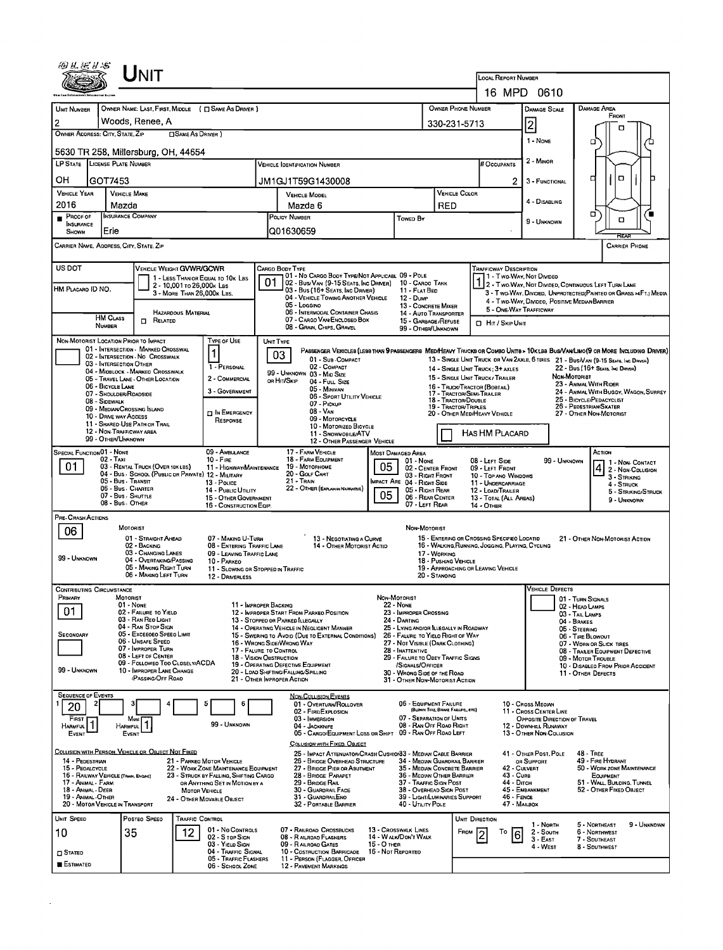|                                                            |                           | ÚNIT                                                                      |                            |                                                                          |                                                                                                                         |                                                                                                  |                                                                             |                                                               |                                             |                                                  |                                                                                                                                                            |                                            |                              |                                                                                                                               |  |  |  |  |
|------------------------------------------------------------|---------------------------|---------------------------------------------------------------------------|----------------------------|--------------------------------------------------------------------------|-------------------------------------------------------------------------------------------------------------------------|--------------------------------------------------------------------------------------------------|-----------------------------------------------------------------------------|---------------------------------------------------------------|---------------------------------------------|--------------------------------------------------|------------------------------------------------------------------------------------------------------------------------------------------------------------|--------------------------------------------|------------------------------|-------------------------------------------------------------------------------------------------------------------------------|--|--|--|--|
|                                                            |                           |                                                                           |                            |                                                                          |                                                                                                                         |                                                                                                  |                                                                             |                                                               |                                             |                                                  | <b>LOCAL REPORT NUMBER</b><br>16 MPD 0610                                                                                                                  |                                            |                              |                                                                                                                               |  |  |  |  |
|                                                            |                           |                                                                           |                            |                                                                          |                                                                                                                         |                                                                                                  |                                                                             |                                                               |                                             |                                                  |                                                                                                                                                            |                                            |                              |                                                                                                                               |  |  |  |  |
| <b>UNIT NUMBER</b>                                         |                           |                                                                           |                            | OWNER NAME: LAST, FIRST, MIDDLE ( C SAME AS DRIVER )                     |                                                                                                                         |                                                                                                  |                                                                             |                                                               |                                             | <b>OWNER PHONE NUMBER</b>                        |                                                                                                                                                            | DAMAGE SCALE                               |                              | Damage Area<br>FRONT                                                                                                          |  |  |  |  |
| 2<br>OWNER ADDRESS: CITY, STATE, ZIP                       |                           | Woods, Renee, A                                                           | □ SAME AS DRIVER)          |                                                                          |                                                                                                                         |                                                                                                  |                                                                             |                                                               |                                             | 330-231-5713                                     |                                                                                                                                                            | 2                                          |                              | ם                                                                                                                             |  |  |  |  |
|                                                            |                           | 5630 TR 258, Millersburg, OH, 44654                                       |                            |                                                                          |                                                                                                                         |                                                                                                  |                                                                             |                                                               |                                             |                                                  |                                                                                                                                                            | 1 - NONE                                   |                              | □                                                                                                                             |  |  |  |  |
| LP STATE LICENSE PLATE NUMBER                              |                           |                                                                           |                            |                                                                          |                                                                                                                         | <b>VEHICLE IDENTIFICATION NUMBER</b>                                                             |                                                                             |                                                               |                                             |                                                  | # Occupants                                                                                                                                                | 2 - Minor                                  |                              |                                                                                                                               |  |  |  |  |
| OН                                                         | GOT7453                   |                                                                           |                            |                                                                          |                                                                                                                         | JM1GJ1T59G1430008                                                                                |                                                                             |                                                               |                                             |                                                  | 2                                                                                                                                                          | 3 - FUNCTIONAL                             |                              | о<br>α                                                                                                                        |  |  |  |  |
| <b>VEHICLE YEAR</b><br>2016                                |                           | <b>VEHICLE MAKE</b><br>Mazda                                              |                            |                                                                          |                                                                                                                         | <b>VEHICLE MODEL</b><br>Mazda 6                                                                  |                                                                             |                                                               | RED                                         | <b>VEHICLE COLOR</b>                             | 4 - DISABLING                                                                                                                                              |                                            |                              |                                                                                                                               |  |  |  |  |
| $P$ ROOF OF                                                |                           | <b>INSURANCE COMPANY</b>                                                  |                            |                                                                          |                                                                                                                         | POLICY NUMBER                                                                                    |                                                                             | Towep By                                                      |                                             | 0<br>о<br>9 - UNKNOWN                            |                                                                                                                                                            |                                            |                              |                                                                                                                               |  |  |  |  |
| <b>NSURANCE</b><br><b>SHOWN</b>                            | Erie                      |                                                                           |                            |                                                                          |                                                                                                                         | Q01630659                                                                                        |                                                                             |                                                               |                                             |                                                  |                                                                                                                                                            |                                            |                              | REA                                                                                                                           |  |  |  |  |
|                                                            |                           | CARRIER NAME, ADDRESS, CITY, STATE, ZIP                                   |                            |                                                                          |                                                                                                                         |                                                                                                  |                                                                             |                                                               |                                             |                                                  |                                                                                                                                                            |                                            |                              | <b>CARRIER PHONE</b>                                                                                                          |  |  |  |  |
| US DOT                                                     |                           | VEHICLE WEIGHT GVWR/GCWR                                                  |                            |                                                                          |                                                                                                                         | Cargo Body Type                                                                                  |                                                                             |                                                               |                                             |                                                  | Trafficway Description                                                                                                                                     |                                            |                              |                                                                                                                               |  |  |  |  |
|                                                            |                           |                                                                           | 2 - 10,001 To 26,000K Las  | 1 - LESS THAN OR EQUAL TO 10K LBS                                        | 01                                                                                                                      | 01 - No CARGO BODY TYPE/NOT APPLICABL 09 - POLE<br>02 - Bus/Van (9-15 Seats, Inc Driver)         |                                                                             | 10 - CAROO TANK                                               |                                             |                                                  | 1 - Two-Way, Not Divideo                                                                                                                                   |                                            |                              | $\begin{bmatrix} 1 & 2 \\ 2 & \text{Two-Way}, \text{Not Diwideb}, \text{Continuous Left Turaw Lane} \end{bmatrix}$            |  |  |  |  |
| HM PLACARO ID NO.                                          |                           |                                                                           | 3 - MORE THAN 26,000K LBS. |                                                                          |                                                                                                                         | 03 - Bus (16+ SEATS, INC DRIVER)<br>04 - VEHICLE TOWING ANOTHER VEHICLE                          |                                                                             | 11 - FLAT BED<br>12 - Dump                                    |                                             |                                                  |                                                                                                                                                            |                                            |                              | 3 - Two-Way, Divided, UNPROTECTED (PAINTED OR GRASS >4FT.) MEDIA                                                              |  |  |  |  |
|                                                            |                           |                                                                           | HAZARDOUS MATERIAL         |                                                                          |                                                                                                                         | 05 - Longino<br>06 - INTERMODAL CONTAINER CHASIS                                                 |                                                                             | 13 - CONCRETE MIXER<br><b>14 - AUTO TRANSPORTER</b>           |                                             |                                                  | 4 - Two Way, Divideo, Positive Median Barrier<br>5 - ONE-WAY TRAFFICWAY                                                                                    |                                            |                              |                                                                                                                               |  |  |  |  |
|                                                            | <b>HM CLASS</b><br>NUMBER | $\Pi$ Related                                                             |                            |                                                                          |                                                                                                                         | 07 - CARGO VAN ENCLOSEO BOX<br>08 - Gran, Chips, Gravel                                          |                                                                             | 15 - GARBAGE/REFUSE<br>99 - OTHER/UNKNOWN                     |                                             |                                                  | HIT / SKIP UNIT                                                                                                                                            |                                            |                              |                                                                                                                               |  |  |  |  |
|                                                            |                           | NON-MOTORIST LOCATION PRIOR TO IMPACT                                     |                            | TYPE OF USE                                                              | <b>UNIT TYPE</b>                                                                                                        |                                                                                                  |                                                                             |                                                               |                                             |                                                  |                                                                                                                                                            |                                            |                              |                                                                                                                               |  |  |  |  |
|                                                            |                           | 01 - INTERSECTION - MARKED CROSSWAL<br>02 - INTERSECTION - NO CROSSWALK   |                            | $\blacksquare$                                                           |                                                                                                                         | 03<br>01 - Sub-COMPACT                                                                           |                                                                             |                                                               |                                             |                                                  |                                                                                                                                                            |                                            |                              | PASSENGER VENICLES (LESS THAN 9 PASSENGERS MEDIHEAVY TRUCKS OR COMBO UNITS > 10K LBS BUS/VAN/LIMO(9 OR MORE INCLUDING DRIVER) |  |  |  |  |
|                                                            |                           | 03 - INTERSECTION OTHER<br>04 - MIDBLOCK - MARKED CROSSWALK               |                            | 1 - PERSONAL                                                             |                                                                                                                         | 02 - COMPACT<br>99 - UNKNOWN 03 - MID SIZE                                                       |                                                                             |                                                               |                                             |                                                  | 13 - SINGLE UNIT TRUCK DR VAN 2AXLE, 6 TIRES 21 - BUS/VAN (9-15 SEATS, INC DRIVER)<br>22 - Bus (16+ Seats, Inc Driver)<br>14 - SINGLE UNIT TRUCK: 3+ AXLES |                                            |                              |                                                                                                                               |  |  |  |  |
|                                                            | 06 - BICYCLE LANE         | 05 - TRAVEL LANE - OTHER LOCATION                                         |                            | 2 - COMMERCIAL                                                           |                                                                                                                         | OR HIT/SKIP<br>04 - FULL SIZE                                                                    |                                                                             |                                                               |                                             |                                                  | NON-MOTORIST<br>15 - SINGLE UNIT TRUCK / TRAILER<br>23 - ANIMAL WITH RIDER<br>16 - TRUCK/TRACTOR (BOBTAIL)                                                 |                                            |                              |                                                                                                                               |  |  |  |  |
|                                                            | 08 - SIDEWALK             | 07 - SHOULDER/RDADS/DE                                                    |                            | 3 - GOVERNMENT                                                           |                                                                                                                         | 05 - Minivan<br>06 - SPORT UTILITY VEHICLE                                                       |                                                                             |                                                               |                                             | 17 - Tractor/Semi-Trailer<br>18 - TRACTOR/DOUBLE |                                                                                                                                                            |                                            |                              | 24 - ANIMAL WITH BUGGY, WAGON, SURREY<br>25 - BICYCLE/PEDACYCLIST                                                             |  |  |  |  |
|                                                            |                           | 09 - MEDIAN CROSSING ISLAND                                               |                            | D IN EMERGENCY                                                           |                                                                                                                         | 07 - Pickup<br>08 - VAN                                                                          |                                                                             |                                                               |                                             | 19 - Tractor/Triples                             | 20 - OTHER MEDIHEAVY VEHICLE                                                                                                                               |                                            |                              | 26 - PEDESTRIAN/SKATER<br>27 - OTHER NON-MOTORIST                                                                             |  |  |  |  |
|                                                            | 10 - DRIVE WAY ACCESS     | 11 - SHAREO-USE PATH OR TRAIL                                             |                            | RESPONSE                                                                 | 09 - MOTORCYCLE<br>10 - MOTORIZED BICYCLE                                                                               |                                                                                                  |                                                                             |                                                               |                                             |                                                  |                                                                                                                                                            |                                            |                              |                                                                                                                               |  |  |  |  |
|                                                            | 99 - OTHER/UNKNOWN        | 12 - NON-TRAFFICWAY AREA                                                  |                            |                                                                          |                                                                                                                         | 11 - SNOWMOBILE/ATV<br>12 - OTHER PASSENGER VEHICLE                                              |                                                                             |                                                               | <b>HAS HM PLACARD</b>                       |                                                  |                                                                                                                                                            |                                            |                              |                                                                                                                               |  |  |  |  |
| SPECIAL FUNCTION 01 - NONE                                 |                           |                                                                           |                            | 09 - AMBULANCE                                                           |                                                                                                                         | 17 - FARM VEHICLE                                                                                |                                                                             | Most Damaged Area                                             |                                             |                                                  |                                                                                                                                                            |                                            |                              | ACTION                                                                                                                        |  |  |  |  |
| 01                                                         | $02 - T$ AXI              | 03 - RENTAL TRUCK (OVER 10K LBS)                                          |                            | $10 -$ Fire<br>11 - HIGHWAY/MAINTENANCE                                  |                                                                                                                         | 18 - FARM EQUIPMENT<br>19 Мотокноме                                                              | 05                                                                          | 01 - NONE<br>02 - CENTER FRONT                                |                                             |                                                  | 08 - LEFT SIDE<br>09 - LEFT FRONT                                                                                                                          |                                            | 99 - Unknown                 | 1 - Non- Contact<br>$ 4 $ 2 - Non-Collision                                                                                   |  |  |  |  |
|                                                            |                           | 04 - BUS - SCHOOL (PUBLIC OR PRIVATE) 12 - MILITARY<br>05 - Bus - Transit |                            | 13 - Pouce                                                               |                                                                                                                         | 20 - GOLF CART<br>21 - TRAIN                                                                     | 03 - RIGHT FRONT                                                            | 10 - Top and Windows                                          | 3 - STRIKING                                |                                                  |                                                                                                                                                            |                                            |                              |                                                                                                                               |  |  |  |  |
|                                                            |                           | 06 - Bus - CHARTER<br>07 - Bus - SHUTTLE                                  |                            | 14 - Pusuc UTILITY                                                       | IMPACT ARE 04 - RIGHT SIDE<br>22 - OTHER (EXPLAIN IN NASPATIVE)<br>05 - RIGHT REAR<br>05<br>06 - REAR CENTER            |                                                                                                  |                                                                             |                                                               |                                             |                                                  | 11 - UNDERCARRIAGE<br>12 - LOAD/TRAILER                                                                                                                    |                                            |                              | 4 - Struck<br>5 - Striking/Struck                                                                                             |  |  |  |  |
|                                                            |                           | 08 - Bus - Other                                                          |                            | 15 - OTHER GOVERNMENT<br>16 - CONSTRUCTION EQIP.                         |                                                                                                                         |                                                                                                  |                                                                             | 07 - LEFT REAR                                                |                                             |                                                  | 13 - Total (All Areas)<br>14 - OTHER                                                                                                                       |                                            |                              | 9 - Unknown                                                                                                                   |  |  |  |  |
| PRE- CRASH ACTIONS                                         |                           | MOTORIST                                                                  |                            |                                                                          |                                                                                                                         |                                                                                                  |                                                                             |                                                               |                                             |                                                  |                                                                                                                                                            |                                            |                              |                                                                                                                               |  |  |  |  |
| 06                                                         |                           | 01 - STRAIGHT AHEAD                                                       |                            | 07 - MAKING U-TURN                                                       |                                                                                                                         | 13 - NEGOTIATING A CURVE                                                                         | NON-MOTORIST                                                                |                                                               | 15 - ENTERING OR CROSSING SPECIFIED LOCATID |                                                  |                                                                                                                                                            | 21 - OTHER NON-MOTORIST ACTION             |                              |                                                                                                                               |  |  |  |  |
|                                                            |                           | 02 - BACKING<br>03 - Changing Lanes                                       |                            | 08 - ENTERING TRAFFIC LANE<br>09 - LEAVING TRAFFIC LANE                  | 14 - OTHER MOTORIST ACTIO<br>17 - WORKING                                                                               |                                                                                                  |                                                                             |                                                               |                                             |                                                  | 16 - WALKING, RUNNING, JOGGING, PLAYING, CYCLING                                                                                                           |                                            |                              |                                                                                                                               |  |  |  |  |
| 99 - UNKNOWN                                               |                           | 04 - OVERTAKING/PASSING<br>05 - MAKING RIGHT TURN                         |                            | 10 - PARKEO<br>11 - SLOWING OR STOPPED IN TRAFFIC                        |                                                                                                                         |                                                                                                  | 18 - PUSHING VEHICLE                                                        |                                                               | 19 - APPROACHING OR LEAVING VEHICLE         |                                                  |                                                                                                                                                            |                                            |                              |                                                                                                                               |  |  |  |  |
|                                                            |                           | 06 - MAKING LEFT TURN                                                     |                            | 12 - DRIVERLESS                                                          |                                                                                                                         |                                                                                                  |                                                                             |                                                               | 20 - Standing                               |                                                  |                                                                                                                                                            |                                            |                              |                                                                                                                               |  |  |  |  |
| <b>CONTRIBUTING CIRCUMSTANCE</b><br>Primary                |                           | <b>MOTORIST</b>                                                           |                            |                                                                          |                                                                                                                         |                                                                                                  |                                                                             | Non-MOTORIST                                                  |                                             |                                                  |                                                                                                                                                            | <b>VEHICLE DEFECTS</b>                     | 01 - TURN SIGNALS            |                                                                                                                               |  |  |  |  |
| 01                                                         |                           | 01 - NONE<br>02 - FAILURE TO YIELD                                        |                            | 11 - IMPROPER BACKING                                                    |                                                                                                                         | 12 - IMPROPER START FROM PARKEO POSITION                                                         |                                                                             | 22 NONE<br>23 - IMPROPER CROSSING                             |                                             |                                                  |                                                                                                                                                            |                                            | 02 - HEAD LAMPS              |                                                                                                                               |  |  |  |  |
|                                                            |                           | 03 - RAN REO LIGHT                                                        |                            |                                                                          |                                                                                                                         | 13 - STOPPEO OR PARKED ILLEGALLY                                                                 | 24 - DARTING                                                                |                                                               | 03 - TAIL LAMPS<br>04 - BRAKES              |                                                  |                                                                                                                                                            |                                            |                              |                                                                                                                               |  |  |  |  |
| SECONOARY                                                  |                           | 04 - RAN STOP SIGN<br>05 - Exceeded Speed Limit                           |                            |                                                                          |                                                                                                                         | 14 - OPERATING VEHICLE IN NEGLIGENT MANNER<br>15 - Swering to Avoid (Due to External Conditions) | 25 - LYING AND/OR ILLEGALLY IN ROADWAY<br>26 - FALURE TO YIELO RIGHT OF WAY |                                                               | 05 - STEERING<br>06 - TIRE BLOWOUT          |                                                  |                                                                                                                                                            |                                            |                              |                                                                                                                               |  |  |  |  |
|                                                            |                           | 06 - UNSAFE SPEED<br>07 - IMPROPER TURN                                   |                            |                                                                          | 16 - WRONG SIDE/WRONG WAY<br>27 - NOT VISIBLE (DARK CLOTHING)<br>17 - FALURE TO CONTROL<br>28 - INATTENTIVE             |                                                                                                  |                                                                             |                                                               |                                             |                                                  |                                                                                                                                                            |                                            |                              | 07 - WORN OR SLICK TIRES<br>08 - TRAILER EQUIPMENT DEFECTIVE                                                                  |  |  |  |  |
|                                                            |                           | 08 - LEFT OF CENTER<br>09 - FOLLOWEO TOO CLOSELY/ACDA                     |                            |                                                                          | 18 - VISION OBSTRUCTION<br>29 - FAILURE TO OBEY TRAFFIC SIGNS<br>19 - OPERATING DEFECTIVE EQUIPMENT<br>/SIGNALS/OFFICER |                                                                                                  |                                                                             |                                                               |                                             |                                                  |                                                                                                                                                            |                                            |                              | 09 - MOTOR TROUBLE<br>10 - DISABLEO FROM PRIOR ACCIOENT                                                                       |  |  |  |  |
| 99 - UNKNOWN                                               |                           | 10 - IMPROPER LANE CHANGE<br><b>PASSING/OFF ROAD</b>                      |                            |                                                                          |                                                                                                                         | 20 - LOAD SHIFTING/FALLING/SPILLING<br>21 - OTHER IMPROPER ACTION                                | 30 - WRONG SIDE OF THE ROAD<br>31 - OTHER NON-MOTORIST ACTION               |                                                               |                                             |                                                  |                                                                                                                                                            | 11 - OTHER DEFECTS                         |                              |                                                                                                                               |  |  |  |  |
| <b>SEQUENCE OF EVENTS</b>                                  |                           |                                                                           |                            |                                                                          |                                                                                                                         | <b>NON-COLLISION EVENTS</b>                                                                      |                                                                             |                                                               |                                             |                                                  |                                                                                                                                                            |                                            |                              |                                                                                                                               |  |  |  |  |
| 20                                                         |                           |                                                                           |                            | 6                                                                        |                                                                                                                         | 01 - OVERTURN/ROLLOVER<br>02 - FIRE/EXPLOSION                                                    |                                                                             | 06 - EQUIPMENT FAILURE                                        | (BLOWN TIRE, BRAKE FAILURE, ETC)            |                                                  |                                                                                                                                                            | 10 - Cross Meorn<br>11 - Cross CENTER LINE |                              |                                                                                                                               |  |  |  |  |
| FIRST<br><b>HARMFUL</b>                                    |                           | Most<br><b>HARMFUL</b>                                                    |                            | 99 - UNKNOWN                                                             |                                                                                                                         | 03 - IMMERSION<br>04 - JACKKNIFE                                                                 |                                                                             | 07 - SEPARATION OF UNITS<br>08 - RAN OFF ROAD RIGHT           |                                             |                                                  |                                                                                                                                                            | 12 - Downhell Runaway                      | OPPOSITE DIRECTION OF TRAVEL |                                                                                                                               |  |  |  |  |
| EVENT                                                      |                           | EVENT                                                                     |                            |                                                                          |                                                                                                                         | 05 - CARGO/EQUIPMENT LOSS OR SHIFT 09 - RAN OFF ROAD LEFT<br><b>COLLISION WITH FIXED, OBJECT</b> |                                                                             |                                                               |                                             |                                                  |                                                                                                                                                            | 13 - OTHER NON-COLLISION                   |                              |                                                                                                                               |  |  |  |  |
|                                                            |                           | COLLISION WITH PERSON, VEHICLE OR OBJECT NOT FIXED                        |                            |                                                                          |                                                                                                                         | 25 - IMPACT ATTENUATOR/CRASH CUSHION33 - MEDIAN CABLE BARRIER                                    |                                                                             |                                                               |                                             |                                                  |                                                                                                                                                            | 41 - OTHER POST, POLE                      |                              | 48 TREE                                                                                                                       |  |  |  |  |
| 14 - PEDESTRIAN<br>15 - PEOALCYCLE                         |                           |                                                                           |                            | 21 - PARKEO MOTOR VEHICLE<br>22 - WORK ZONE MAINTENANCE EQUIPMENT        |                                                                                                                         | 26 - BRIDGE OVERHEAD STRUCTURE<br>27 - BRIDGE PIER OR ABUTMENT                                   |                                                                             | 34 - Median Guardrail Barrier<br>35 - Median Concrete Barrier |                                             |                                                  | 42 - CULVERT                                                                                                                                               | OR SUPPORT                                 |                              | 49 - Fire Hydrant<br>50 - WORK ZONE MAINTENANCE                                                                               |  |  |  |  |
| 16 - RAILWAY VEHICLE (TRAIN, ENGINE)<br>17 - Animal - Farm |                           |                                                                           |                            | 23 - STRUCK BY FALLING, SHIFTING CARGO<br>OR ANYTHING SET IN MOTION BY A | 36 - MEOWN OTHER BARRIER<br>28 - BRIDGE PARAPET<br>29 - BRIDGE RAIL<br>37 - TRAFFIC SIGN POST                           |                                                                                                  |                                                                             |                                                               |                                             |                                                  | 43 - Curs<br>44 - Олсн                                                                                                                                     |                                            |                              | EQUIPMENT<br>51 - WALL, BUILDING, TUNNEL                                                                                      |  |  |  |  |
| 18 - Animal - Deer<br>19 - ANIMAL-OTHER                    |                           |                                                                           | <b>MOTOR VEHICLE</b>       | 24 - OTHER MOVABLE OBJECT                                                | 30 - GUARDRAIL FACE<br>38 - Overhead Sign Post<br>31 - GUARDRAILENO<br>39 - Light/Luminaries Support                    |                                                                                                  |                                                                             |                                                               |                                             |                                                  | 45 - EMBANKMENT<br>52 - OTHER FIXED OBJECT<br>46 - FENCE                                                                                                   |                                            |                              |                                                                                                                               |  |  |  |  |
| 20 - MOTOR VEHICLE IN TRANSPORT                            |                           |                                                                           |                            |                                                                          |                                                                                                                         | 32 - PORTABLE BARRIER                                                                            |                                                                             | 40 - UTILITY POLE                                             |                                             |                                                  | 47 - MAILBOX                                                                                                                                               |                                            |                              |                                                                                                                               |  |  |  |  |
| <b>UNIT SPEED</b>                                          |                           | POSTED SPEED                                                              | TRAFFIC CONTROL            |                                                                          |                                                                                                                         |                                                                                                  |                                                                             |                                                               |                                             | UNIT DIRECTION                                   |                                                                                                                                                            | 1 - North                                  |                              | 5 - Northeast<br>9 - UNKNOWN                                                                                                  |  |  |  |  |
| 10                                                         |                           | 35                                                                        | 12                         | 01 - No Contrals<br>02 - S TOP SIGN                                      |                                                                                                                         | 07 - RAILROAD CROSSBUCKS<br>08 - RAILROAD FLASHERS                                               |                                                                             | 13 - Crosswalk Lines<br>14 - WALK/DON'T WALK                  |                                             | Frow                                             | То<br>6                                                                                                                                                    | 2 - South<br>$3 - East$                    |                              | 6 - Northwest<br>7 - SOUTHEAST                                                                                                |  |  |  |  |
| $\square$ State o                                          |                           |                                                                           |                            | 03 YIELD SIGN<br>04 - TRAFFIC SIGNAL                                     |                                                                                                                         | 09 - RAILROAD GATES<br>10 - COSTRUCTION BARRICADE                                                | $15 - O$ THER<br>16 - Nor Reporteo                                          |                                                               |                                             |                                                  |                                                                                                                                                            | 4 - West                                   |                              | 8 - SOUTHWEST                                                                                                                 |  |  |  |  |
| <b>ESTIMATED</b>                                           |                           |                                                                           |                            | 05 - TRAFFIC FLASHERS<br>06 - SCHOOL ZONE                                |                                                                                                                         | 11 - PERSON (FLAGGER, OFFICER<br>12 - PAVEMENT MARKINGS                                          |                                                                             |                                                               |                                             |                                                  |                                                                                                                                                            |                                            |                              |                                                                                                                               |  |  |  |  |

 $\mathcal{A}^{\text{max}}_{\text{max}}$